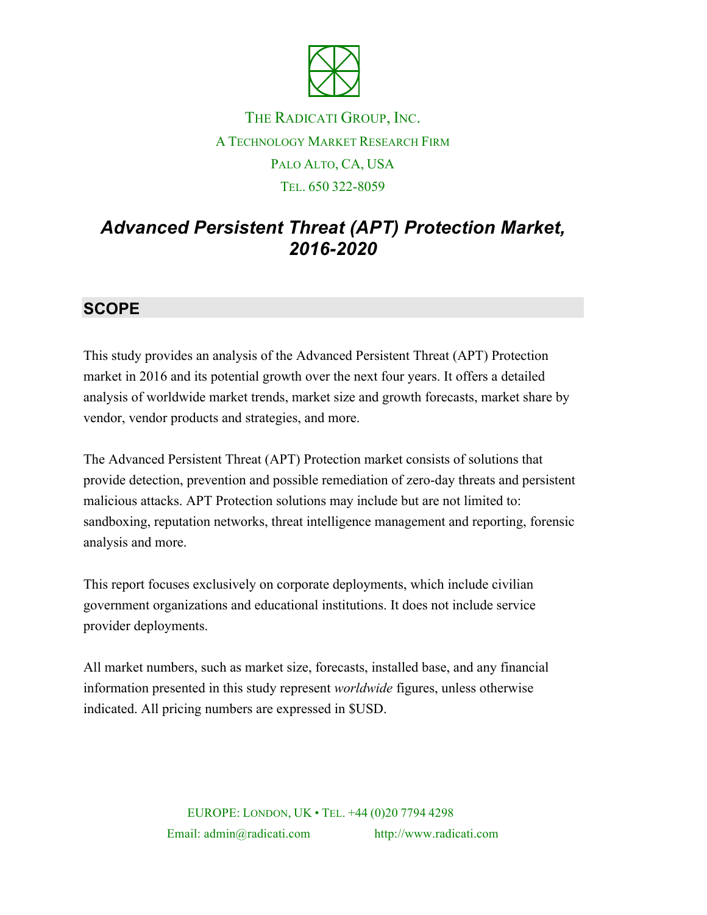

## THE RADICATI GROUP, INC. A TECHNOLOGY MARKET RESEARCH FIRM PALO ALTO, CA, USA TEL. 650 322-8059

# *Advanced Persistent Threat (APT) Protection Market, 2016-2020*

## **SCOPE**

This study provides an analysis of the Advanced Persistent Threat (APT) Protection market in 2016 and its potential growth over the next four years. It offers a detailed analysis of worldwide market trends, market size and growth forecasts, market share by vendor, vendor products and strategies, and more.

The Advanced Persistent Threat (APT) Protection market consists of solutions that provide detection, prevention and possible remediation of zero-day threats and persistent malicious attacks. APT Protection solutions may include but are not limited to: sandboxing, reputation networks, threat intelligence management and reporting, forensic analysis and more.

This report focuses exclusively on corporate deployments, which include civilian government organizations and educational institutions. It does not include service provider deployments.

All market numbers, such as market size, forecasts, installed base, and any financial information presented in this study represent *worldwide* figures, unless otherwise indicated. All pricing numbers are expressed in \$USD.

> EUROPE: LONDON, UK • TEL. +44 (0)20 7794 4298 Email: admin@radicati.com http://www.radicati.com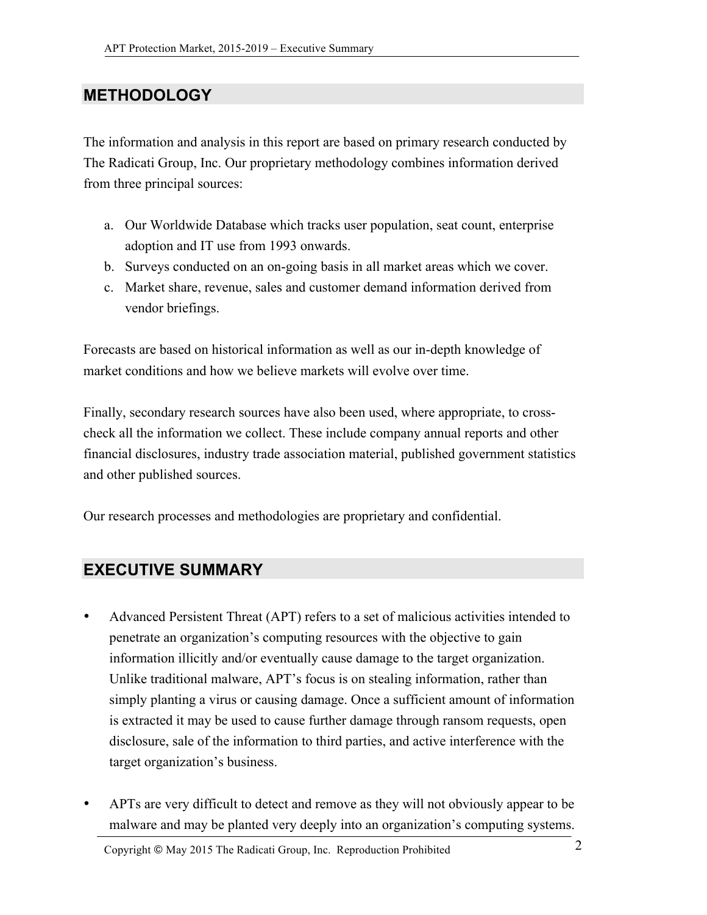### **METHODOLOGY**

The information and analysis in this report are based on primary research conducted by The Radicati Group, Inc. Our proprietary methodology combines information derived from three principal sources:

- a. Our Worldwide Database which tracks user population, seat count, enterprise adoption and IT use from 1993 onwards.
- b. Surveys conducted on an on-going basis in all market areas which we cover.
- c. Market share, revenue, sales and customer demand information derived from vendor briefings.

Forecasts are based on historical information as well as our in-depth knowledge of market conditions and how we believe markets will evolve over time.

Finally, secondary research sources have also been used, where appropriate, to crosscheck all the information we collect. These include company annual reports and other financial disclosures, industry trade association material, published government statistics and other published sources.

Our research processes and methodologies are proprietary and confidential.

#### **EXECUTIVE SUMMARY**

- Advanced Persistent Threat (APT) refers to a set of malicious activities intended to penetrate an organization's computing resources with the objective to gain information illicitly and/or eventually cause damage to the target organization. Unlike traditional malware, APT's focus is on stealing information, rather than simply planting a virus or causing damage. Once a sufficient amount of information is extracted it may be used to cause further damage through ransom requests, open disclosure, sale of the information to third parties, and active interference with the target organization's business.
- APTs are very difficult to detect and remove as they will not obviously appear to be malware and may be planted very deeply into an organization's computing systems.

Copyright © May <sup>2015</sup> The Radicati Group, Inc. Reproduction Prohibited 2